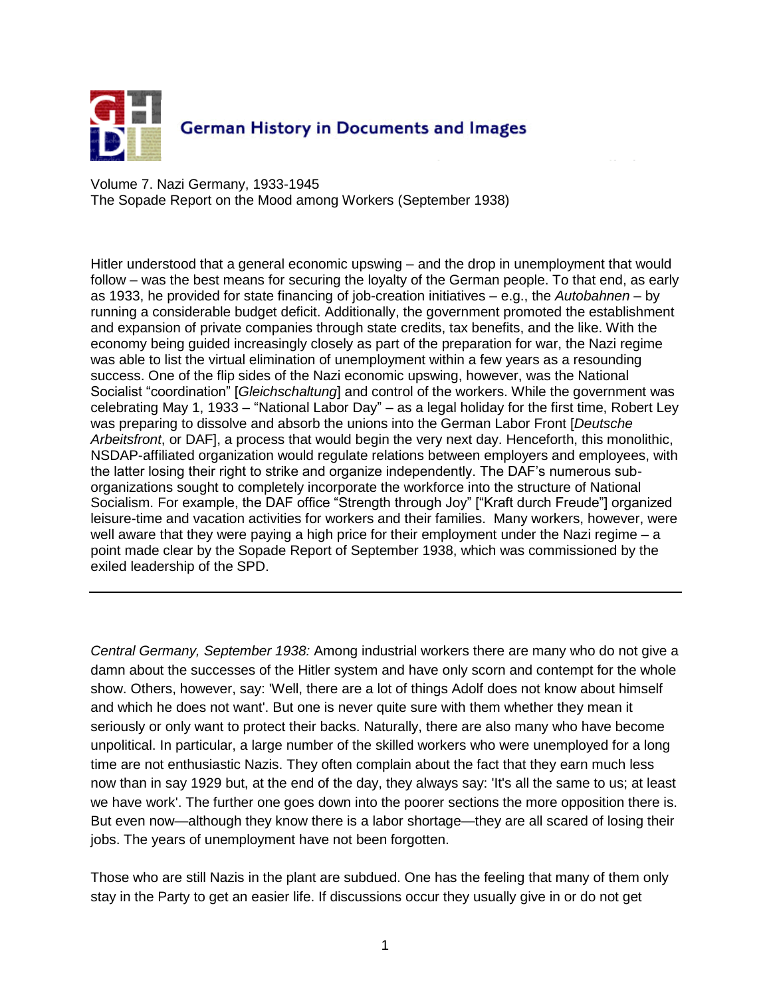

Volume 7. Nazi Germany, 1933-1945 The Sopade Report on the Mood among Workers (September 1938)

Hitler understood that a general economic upswing – and the drop in unemployment that would follow – was the best means for securing the loyalty of the German people. To that end, as early as 1933, he provided for state financing of job-creation initiatives – e.g., the *Autobahnen* – by running a considerable budget deficit. Additionally, the government promoted the establishment and expansion of private companies through state credits, tax benefits, and the like. With the economy being guided increasingly closely as part of the preparation for war, the Nazi regime was able to list the virtual elimination of unemployment within a few years as a resounding success. One of the flip sides of the Nazi economic upswing, however, was the National Socialist "coordination" [*Gleichschaltung*] and control of the workers. While the government was celebrating May 1, 1933 – "National Labor Day" – as a legal holiday for the first time, Robert Ley was preparing to dissolve and absorb the unions into the German Labor Front [*Deutsche Arbeitsfront*, or DAF], a process that would begin the very next day. Henceforth, this monolithic, NSDAP-affiliated organization would regulate relations between employers and employees, with the latter losing their right to strike and organize independently. The DAF's numerous suborganizations sought to completely incorporate the workforce into the structure of National Socialism. For example, the DAF office "Strength through Joy" ["Kraft durch Freude"] organized leisure-time and vacation activities for workers and their families. Many workers, however, were well aware that they were paying a high price for their employment under the Nazi regime – a point made clear by the Sopade Report of September 1938, which was commissioned by the exiled leadership of the SPD.

*Central Germany, September 1938:* Among industrial workers there are many who do not give a damn about the successes of the Hitler system and have only scorn and contempt for the whole show. Others, however, say: 'Well, there are a lot of things Adolf does not know about himself and which he does not want'. But one is never quite sure with them whether they mean it seriously or only want to protect their backs. Naturally, there are also many who have become unpolitical. In particular, a large number of the skilled workers who were unemployed for a long time are not enthusiastic Nazis. They often complain about the fact that they earn much less now than in say 1929 but, at the end of the day, they always say: 'It's all the same to us; at least we have work'. The further one goes down into the poorer sections the more opposition there is. But even now—although they know there is a labor shortage—they are all scared of losing their jobs. The years of unemployment have not been forgotten.

Those who are still Nazis in the plant are subdued. One has the feeling that many of them only stay in the Party to get an easier life. If discussions occur they usually give in or do not get